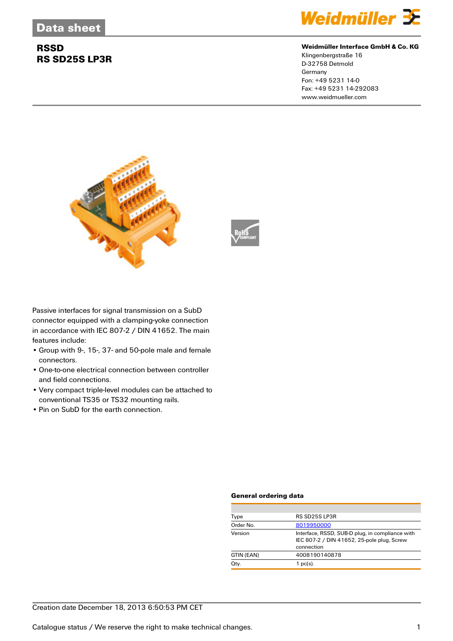## **RSSD RS SD25S LP3R**



#### **Weidmüller Interface GmbH & Co. KG**

Klingenbergstraße 16 D-32758 Detmold Germany Fon: +49 5231 14-0 Fax: +49 5231 14-292083 www.weidmueller.com





Passive interfaces for signal transmission on a SubD connector equipped with a clamping-yoke connection in accordance with IEC 807-2 / DIN 41652. The main features include:

- Group with 9-, 15-, 37- and 50-pole male and female connectors.
- One-to-one electrical connection between controller and field connections.
- Very compact triple-level modules can be attached to conventional TS35 or TS32 mounting rails.
- Pin on SubD for the earth connection.

#### **General ordering data**

| Type       | RS SD25S LP3R                                                                                               |  |  |
|------------|-------------------------------------------------------------------------------------------------------------|--|--|
| Order No.  | 8019950000                                                                                                  |  |  |
| Version    | Interface, RSSD, SUB-D plug, in compliance with<br>IEC 807-2 / DIN 41652, 25-pole plug, Screw<br>connection |  |  |
| GTIN (EAN) | 4008190140878                                                                                               |  |  |
| Qty.       | $1$ pc(s).                                                                                                  |  |  |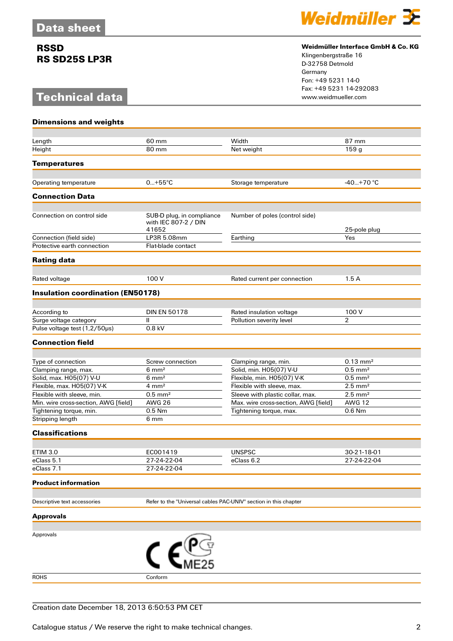## **RSSD RS SD25S LP3R**

# **Technical data**



#### **Weidmüller Interface GmbH & Co. KG**

Klingenbergstraße 16 D-32758 Detmold Germany Fon: +49 5231 14-0 Fax: +49 5231 14-292083

| <b>Dimensions and weights</b>               |                                                                  |                                                      |                         |
|---------------------------------------------|------------------------------------------------------------------|------------------------------------------------------|-------------------------|
|                                             |                                                                  |                                                      |                         |
| Length                                      | 60 mm                                                            | Width                                                | 87 mm                   |
| Height                                      | 80 mm                                                            | Net weight                                           | 159 <sub>g</sub>        |
| <b>Temperatures</b>                         |                                                                  |                                                      |                         |
|                                             |                                                                  |                                                      |                         |
| Operating temperature                       | $0+55^{\circ}C$                                                  | Storage temperature                                  | $-40+70$ °C             |
| <b>Connection Data</b>                      |                                                                  |                                                      |                         |
| Connection on control side                  | SUB-D plug, in compliance                                        |                                                      |                         |
|                                             | with IEC 807-2 / DIN<br>41652                                    | Number of poles (control side)                       | 25-pole plug            |
| Connection (field side)                     | LP3R 5.08mm                                                      | Earthing                                             | Yes                     |
| Protective earth connection                 | Flat-blade contact                                               |                                                      |                         |
| <b>Rating data</b>                          |                                                                  |                                                      |                         |
|                                             |                                                                  |                                                      |                         |
| Rated voltage                               | 100 V                                                            | Rated current per connection                         | 1.5A                    |
| <b>Insulation coordination (EN50178)</b>    |                                                                  |                                                      |                         |
|                                             |                                                                  |                                                      |                         |
| According to<br>Surge voltage category      | <b>DIN EN 50178</b><br>Ш                                         | Rated insulation voltage<br>Pollution severity level | 100 V<br>$\overline{2}$ |
| Pulse voltage test (1,2/50µs)               | 0.8 kV                                                           |                                                      |                         |
|                                             |                                                                  |                                                      |                         |
| <b>Connection field</b>                     |                                                                  |                                                      |                         |
| Type of connection                          | Screw connection                                                 | Clamping range, min.                                 | $0.13 \text{ mm}^2$     |
| Clamping range, max.                        | $6 \text{ mm}^2$                                                 | Solid, min. H05(07) V-U                              | $0.5$ mm <sup>2</sup>   |
| Solid, max. H05(07) V-U                     | $6 \, \text{mm}^2$                                               | Flexible, min. H05(07) V-K                           | $0.5$ mm <sup>2</sup>   |
| Flexible, max. H05(07) V-K                  | $4 \text{ mm}^2$                                                 | Flexible with sleeve, max.                           | $2.5 \text{ mm}^2$      |
| Flexible with sleeve, min.                  | $0.5$ mm <sup>2</sup>                                            | Sleeve with plastic collar, max.                     | $2.5$ mm <sup>2</sup>   |
| Min. wire cross-section, AWG [field]        | <b>AWG 26</b><br>0.5 Nm                                          | Max. wire cross-section, AWG [field]                 | <b>AWG 12</b>           |
| Tightening torque, min.<br>Stripping length | 6 mm                                                             | Tightening torque, max.                              | $0.6$ Nm                |
| <b>Classifications</b>                      |                                                                  |                                                      |                         |
|                                             |                                                                  |                                                      |                         |
| <b>ETIM 3.0</b>                             | EC001419                                                         | <b>UNSPSC</b>                                        | 30-21-18-01             |
| eClass 5.1                                  | 27-24-22-04                                                      | eClass 6.2                                           | 27-24-22-04             |
| eClass 7.1                                  | 27-24-22-04                                                      |                                                      |                         |
| <b>Product information</b>                  |                                                                  |                                                      |                         |
|                                             |                                                                  |                                                      |                         |
| Descriptive text accessories                | Refer to the "Universal cables PAC-UNIV" section in this chapter |                                                      |                         |
| <b>Approvals</b>                            |                                                                  |                                                      |                         |
| Approvals                                   |                                                                  |                                                      |                         |
|                                             |                                                                  |                                                      |                         |
|                                             |                                                                  |                                                      |                         |
|                                             |                                                                  |                                                      |                         |
| <b>ROHS</b>                                 | Conform                                                          |                                                      |                         |
|                                             |                                                                  |                                                      |                         |
|                                             |                                                                  |                                                      |                         |

### Creation date December 18, 2013 6:50:53 PM CET

Catalogue status / We reserve the right to make technical changes. 2